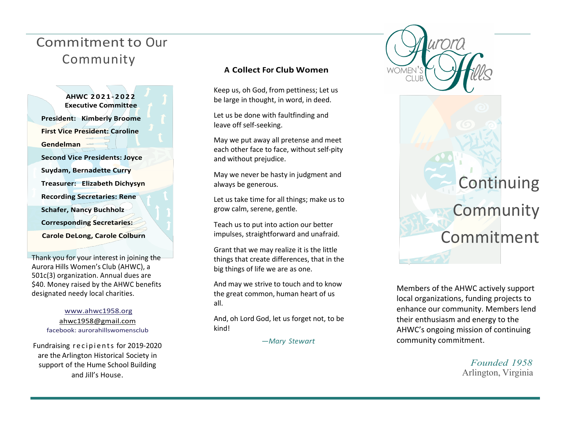## Commitment to Our Community

**AHWC 2 0 2 1 - 202 2 Executive Committee President: Kimberly Broome First Vice President: Caroline Gendelman Second Vice Presidents: Joyce Suydam, Bernadette Curry Treasurer: Elizabeth Dichysyn Recording Secretaries: Rene Schafer, Nancy Buchholz Corresponding Secretaries: Carole DeLong, Carole Colburn**

Thank you for your interest in joining the Aurora Hills Women's Club (AHWC), a 501c(3) organization. Annual dues are \$40. Money raised by the AHWC benefits designated needy local charities.

> www.ahwc1958.org ahwc1958@gmail.com facebook: aurorahillswomensclub

Fundraising recipients for 2019-2020 are the Arlington Historical Society in support of the Hume School Building and Jill's House.

## **A Collect For Club Women**

Keep us, oh God, from pettiness; Let us be large in thought, in word, in deed.

Let us be done with faultfinding and leave off self-seeking.

May we put away all pretense and meet each other face to face, without self-pity and without prejudice.

May we never be hasty in judgment and always be generous.

Let us take time for all things; make us to grow calm, serene, gentle.

Teach us to put into action our better impulses, straightforward and unafraid.

Grant that we may realize it is the little things that create differences, that in the big things of life we are as one.

And may we strive to touch and to know the great common, human heart of us all.

And, oh Lord God, let us forget not, to be kind!

—*Mary Stewart*



Members of the AHWC actively support local organizations, funding projects to enhance our community. Members lend their enthusiasm and energy to the AHWC's ongoing mission of continuing community commitment.

> *Founded 1958* Arlington, Virginia

**Continuing** 

**Community** 

Commitment